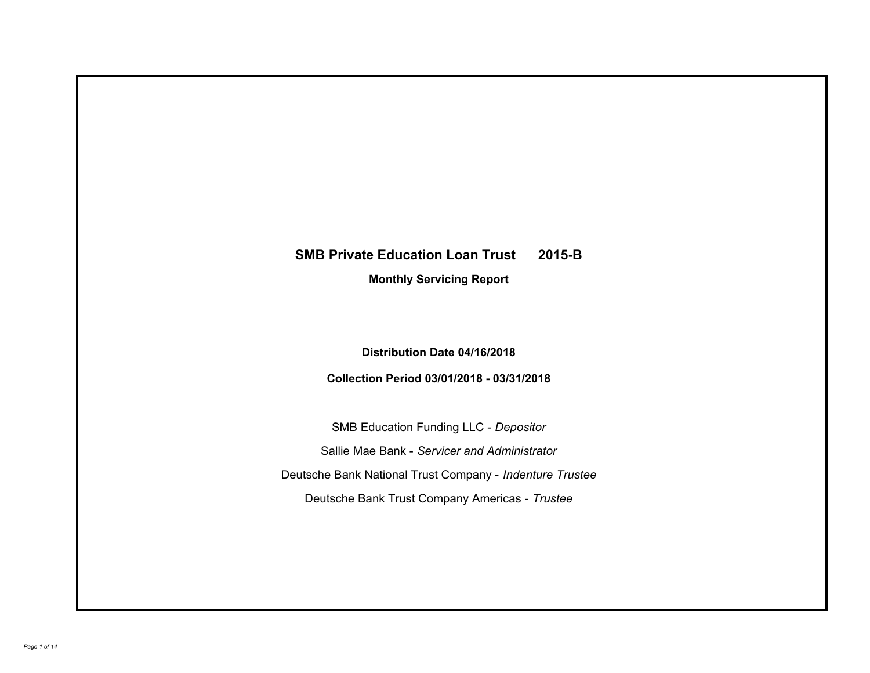# **SMB Private Education Loan Trust 2015-B**

**Monthly Servicing Report**

**Distribution Date 04/16/2018**

**Collection Period 03/01/2018 - 03/31/2018**

SMB Education Funding LLC - *Depositor* Sallie Mae Bank - *Servicer and Administrator* Deutsche Bank National Trust Company - *Indenture Trustee* Deutsche Bank Trust Company Americas - *Trustee*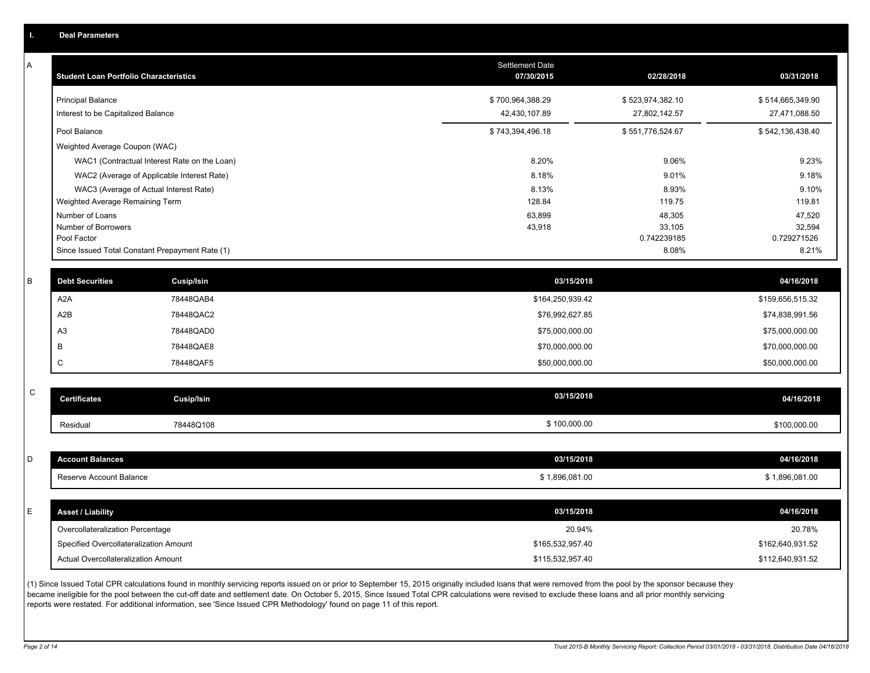|  | <b>Deal Parameters</b> |  |
|--|------------------------|--|
|  |                        |  |
|  |                        |  |

A

| <b>Student Loan Portfolio Characteristics</b>                  | <b>Settlement Date</b><br>07/30/2015 | 02/28/2018                        | 03/31/2018                        |
|----------------------------------------------------------------|--------------------------------------|-----------------------------------|-----------------------------------|
| <b>Principal Balance</b><br>Interest to be Capitalized Balance | \$700,964,388.29<br>42,430,107.89    | \$523,974,382.10<br>27,802,142.57 | \$514,665,349.90<br>27,471,088.50 |
| Pool Balance                                                   | \$743,394,496.18                     | \$551,776,524.67                  | \$542,136,438.40                  |
| Weighted Average Coupon (WAC)                                  |                                      |                                   |                                   |
| WAC1 (Contractual Interest Rate on the Loan)                   | 8.20%                                | 9.06%                             | 9.23%                             |
| WAC2 (Average of Applicable Interest Rate)                     | 8.18%                                | 9.01%                             | 9.18%                             |
| WAC3 (Average of Actual Interest Rate)                         | 8.13%                                | 8.93%                             | 9.10%                             |
| Weighted Average Remaining Term                                | 128.84                               | 119.75                            | 119.81                            |
| Number of Loans                                                | 63,899                               | 48,305                            | 47,520                            |
| Number of Borrowers                                            | 43,918                               | 33,105                            | 32,594                            |
| Pool Factor                                                    |                                      | 0.742239185                       | 0.729271526                       |
| Since Issued Total Constant Prepayment Rate (1)                |                                      | 8.08%                             | 8.21%                             |

| <b>Debt Securities</b> | <b>Cusip/Isin</b> | 03/15/2018       | 04/16/2018       |
|------------------------|-------------------|------------------|------------------|
| A <sub>2</sub> A       | 78448QAB4         | \$164,250,939.42 | \$159,656,515.32 |
| A2B                    | 78448QAC2         | \$76,992,627.85  | \$74,838,991.56  |
| A <sub>3</sub>         | 78448QAD0         | \$75,000,000.00  | \$75,000,000.00  |
|                        | 78448QAE8         | \$70,000,000.00  | \$70,000,000.00  |
|                        | 78448QAF5         | \$50,000,000.00  | \$50,000,000.00  |

| $\sim$<br>◡ | <b>Certificates</b> | Cusip/Isin | 03/15/2018   | 04/16/2018   |
|-------------|---------------------|------------|--------------|--------------|
|             | Residual            | 78448Q108  | \$100,000.00 | \$100,000.00 |

| D  | <b>Account Balances</b>  | 03/15/2018     | 04/16/2018     |
|----|--------------------------|----------------|----------------|
|    | Reserve Account Balance  | \$1,896,081.00 | \$1,896,081.00 |
|    |                          |                |                |
| E. | <b>Asset / Liability</b> | 03/15/2018     | 04/16/2018     |
|    | $\sim$                   | .              | -------        |

| Overcollateralization Percentage       | 20.94%           | 20.78%           |
|----------------------------------------|------------------|------------------|
| Specified Overcollateralization Amount | \$165,532,957.40 | \$162,640,931.52 |
| Actual Overcollateralization Amount    | \$115,532,957.40 | \$112,640,931.52 |

(1) Since Issued Total CPR calculations found in monthly servicing reports issued on or prior to September 15, 2015 originally included loans that were removed from the pool by the sponsor because they became ineligible for the pool between the cut-off date and settlement date. On October 5, 2015, Since Issued Total CPR calculations were revised to exclude these loans and all prior monthly servicing reports were restated. For additional information, see 'Since Issued CPR Methodology' found on page 11 of this report.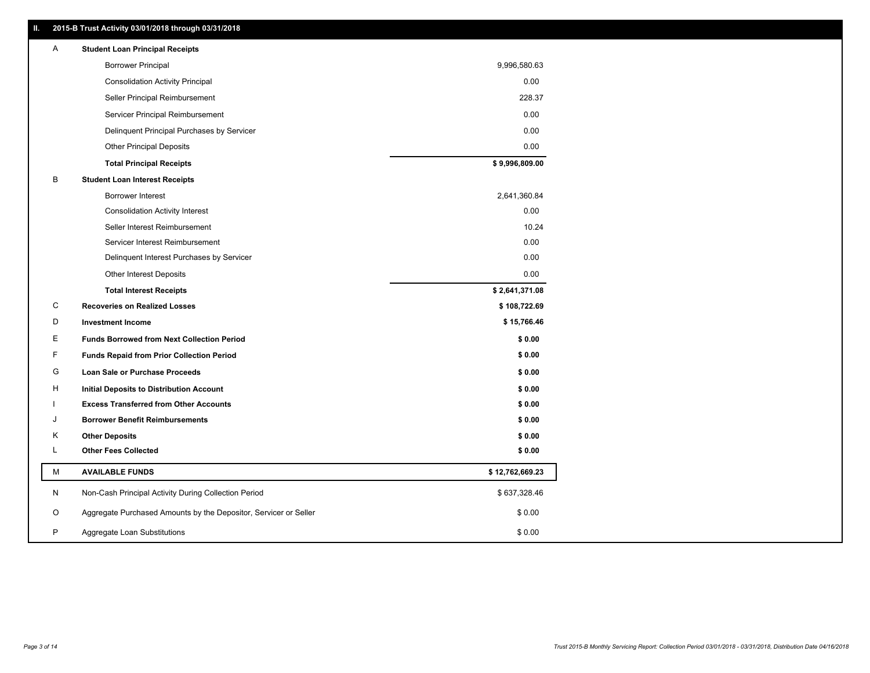| 2015-B Trust Activity 03/01/2018 through 03/31/2018<br>П. |                                                                  |                 |
|-----------------------------------------------------------|------------------------------------------------------------------|-----------------|
| A                                                         | <b>Student Loan Principal Receipts</b>                           |                 |
|                                                           | <b>Borrower Principal</b>                                        | 9,996,580.63    |
|                                                           | <b>Consolidation Activity Principal</b>                          | 0.00            |
|                                                           | Seller Principal Reimbursement                                   | 228.37          |
|                                                           | Servicer Principal Reimbursement                                 | 0.00            |
|                                                           | Delinquent Principal Purchases by Servicer                       | 0.00            |
|                                                           | <b>Other Principal Deposits</b>                                  | 0.00            |
|                                                           | <b>Total Principal Receipts</b>                                  | \$9,996,809.00  |
| В                                                         | <b>Student Loan Interest Receipts</b>                            |                 |
|                                                           | <b>Borrower Interest</b>                                         | 2,641,360.84    |
|                                                           | <b>Consolidation Activity Interest</b>                           | 0.00            |
|                                                           | Seller Interest Reimbursement                                    | 10.24           |
|                                                           | Servicer Interest Reimbursement                                  | 0.00            |
|                                                           | Delinquent Interest Purchases by Servicer                        | 0.00            |
|                                                           | <b>Other Interest Deposits</b>                                   | 0.00            |
|                                                           | <b>Total Interest Receipts</b>                                   | \$2,641,371.08  |
|                                                           |                                                                  |                 |
| C                                                         | <b>Recoveries on Realized Losses</b>                             | \$108,722.69    |
| D                                                         | <b>Investment Income</b>                                         | \$15,766.46     |
| Ε                                                         | <b>Funds Borrowed from Next Collection Period</b>                | \$0.00          |
| F                                                         | <b>Funds Repaid from Prior Collection Period</b>                 | \$0.00          |
| G                                                         | Loan Sale or Purchase Proceeds                                   | \$0.00          |
| н                                                         | Initial Deposits to Distribution Account                         | \$0.00          |
|                                                           | <b>Excess Transferred from Other Accounts</b>                    | \$0.00          |
| J                                                         | <b>Borrower Benefit Reimbursements</b>                           | \$0.00          |
| Κ                                                         | <b>Other Deposits</b>                                            | \$0.00          |
| L                                                         | <b>Other Fees Collected</b>                                      | \$0.00          |
| М                                                         | <b>AVAILABLE FUNDS</b>                                           | \$12,762,669.23 |
| N                                                         | Non-Cash Principal Activity During Collection Period             | \$637,328.46    |
| O                                                         | Aggregate Purchased Amounts by the Depositor, Servicer or Seller | \$0.00          |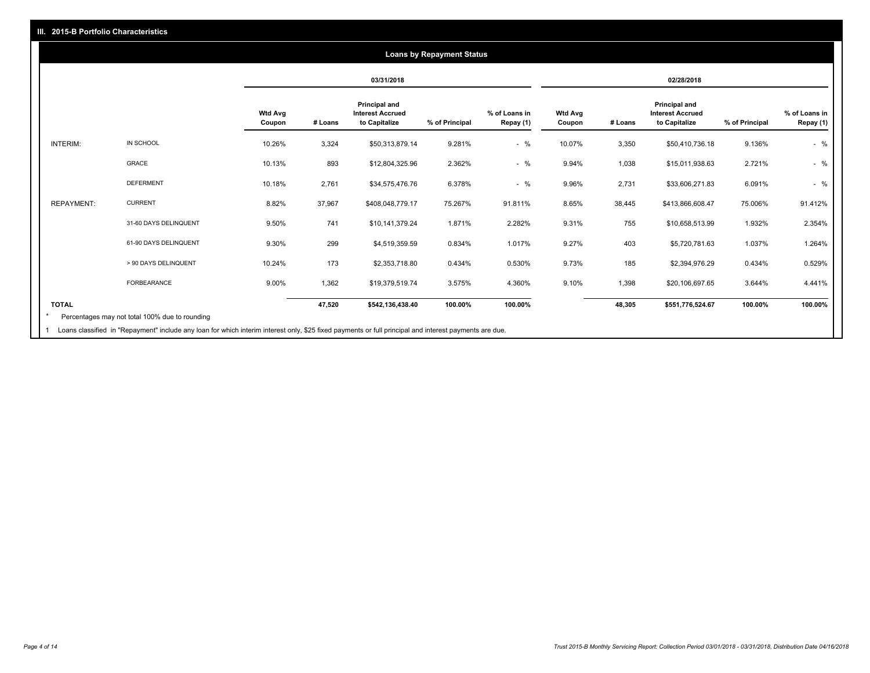# **03/31/2018 02/28/2018 Wtd Avg Coupon # Loans Principal and Interest Accrued to Capitalize % of Principal % of Loans in Repay (1) Wtd Avg Coupon # Loans Principal and Interest Accrued to Capitalize % of Principal % of Loans in Repay (1)**  INTERIM: IN SCHOOL 10.26% 3,324 \$50,313,879.14 9.281% - % 10.07% 3,350 \$50,410,736.18 9.136% - % GRACE 10.13% 893 \$12,804,325.96 2.362% - % 9.94% 1,038 \$15,011,938.63 2.721% - % DEFERMENT 10.18% 2,761 \$34,575,476.76 6.378% - % 9.96% 2,731 \$33,606,271.83 6.091% - % REPAYMENT: CURRENT 8.82% 37,967 \$408,048,779.17 75.267% 91.811% 8.65% 38,445 \$413,866,608.47 75.006% 91.412% 31-60 DAYS DELINQUENT 9.50% 741 \$10,141,379.24 1.871% 2.282% 9.31% 755 \$10,658,513.99 1.932% 2.354% 61-90 DAYS DELINQUENT 9.30% 299 \$4,519,359.59 0.834% 1.017% 9.27% 403 \$5,720,781.63 1.037% 1.264% > 90 DAYS DELINQUENT 10.24% 173 \$2,353,718.80 0.434% 0.530% 9.73% 185 \$2,394,976.29 0.434% 0.529% FORBEARANCE 9.00% 1,362 \$19,379,519.74 3.575% 4.360% 9.10% 1,398 \$20,106,697.65 3.644% 4.441% **TOTAL 47,520 \$542,136,438.40 100.00% 100.00% 48,305 \$551,776,524.67 100.00% 100.00% Loans by Repayment Status** Percentages may not total 100% due to rounding \*

Loans classified in "Repayment" include any loan for which interim interest only, \$25 fixed payments or full principal and interest payments are due. 1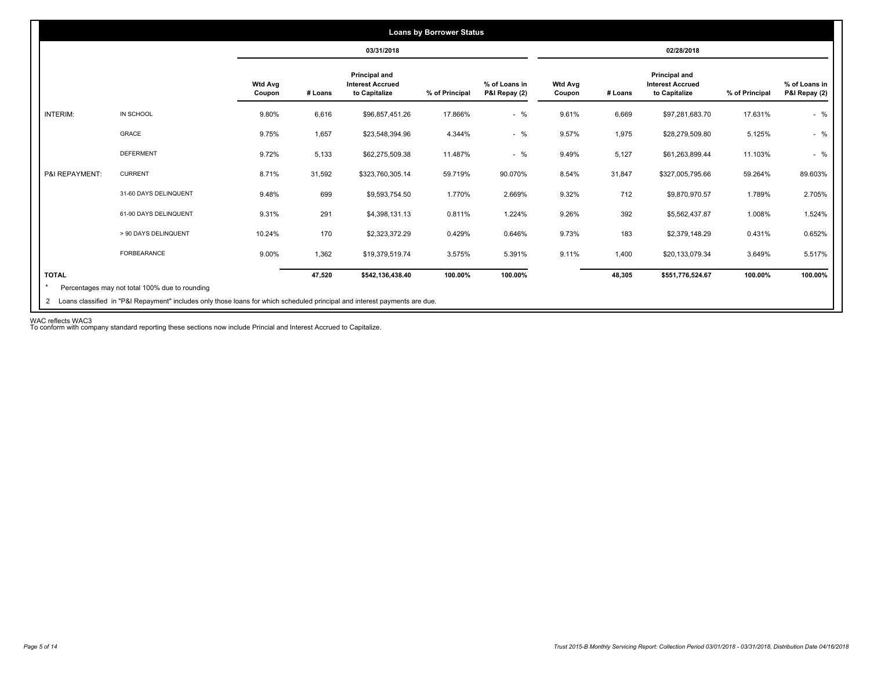|                 |                       |                          |         | 03/31/2018                                                       |                |                                |                          |         | 02/28/2018                                                       |                |                                |
|-----------------|-----------------------|--------------------------|---------|------------------------------------------------------------------|----------------|--------------------------------|--------------------------|---------|------------------------------------------------------------------|----------------|--------------------------------|
|                 |                       | <b>Wtd Avg</b><br>Coupon | # Loans | <b>Principal and</b><br><b>Interest Accrued</b><br>to Capitalize | % of Principal | % of Loans in<br>P&I Repay (2) | <b>Wtd Avg</b><br>Coupon | # Loans | <b>Principal and</b><br><b>Interest Accrued</b><br>to Capitalize | % of Principal | % of Loans in<br>P&I Repay (2) |
| <b>INTERIM:</b> | IN SCHOOL             | 9.80%                    | 6,616   | \$96,857,451.26                                                  | 17.866%        | $-$ %                          | 9.61%                    | 6,669   | \$97,281,683.70                                                  | 17.631%        | $-$ %                          |
|                 | GRACE                 | 9.75%                    | 1,657   | \$23,548,394.96                                                  | 4.344%         | $-$ %                          | 9.57%                    | 1,975   | \$28,279,509.80                                                  | 5.125%         | $-$ %                          |
|                 | <b>DEFERMENT</b>      | 9.72%                    | 5,133   | \$62,275,509.38                                                  | 11.487%        | $-$ %                          | 9.49%                    | 5,127   | \$61,263,899.44                                                  | 11.103%        | $-$ %                          |
| P&I REPAYMENT:  | <b>CURRENT</b>        | 8.71%                    | 31,592  | \$323,760,305.14                                                 | 59.719%        | 90.070%                        | 8.54%                    | 31,847  | \$327,005,795.66                                                 | 59.264%        | 89.603%                        |
|                 | 31-60 DAYS DELINQUENT | 9.48%                    | 699     | \$9,593,754.50                                                   | 1.770%         | 2.669%                         | 9.32%                    | 712     | \$9,870,970.57                                                   | 1.789%         | 2.705%                         |
|                 | 61-90 DAYS DELINQUENT | 9.31%                    | 291     | \$4,398,131.13                                                   | 0.811%         | 1.224%                         | 9.26%                    | 392     | \$5,562,437.87                                                   | 1.008%         | 1.524%                         |
|                 | > 90 DAYS DELINQUENT  | 10.24%                   | 170     | \$2,323,372.29                                                   | 0.429%         | 0.646%                         | 9.73%                    | 183     | \$2,379,148.29                                                   | 0.431%         | 0.652%                         |
|                 | FORBEARANCE           | 9.00%                    | 1,362   | \$19,379,519.74                                                  | 3.575%         | 5.391%                         | 9.11%                    | 1,400   | \$20,133,079.34                                                  | 3.649%         | 5.517%                         |
| <b>TOTAL</b>    |                       |                          | 47,520  | \$542,136,438.40                                                 | 100.00%        | 100.00%                        |                          | 48,305  | \$551,776,524.67                                                 | 100.00%        | 100.00%                        |

WAC reflects WAC3 To conform with company standard reporting these sections now include Princial and Interest Accrued to Capitalize.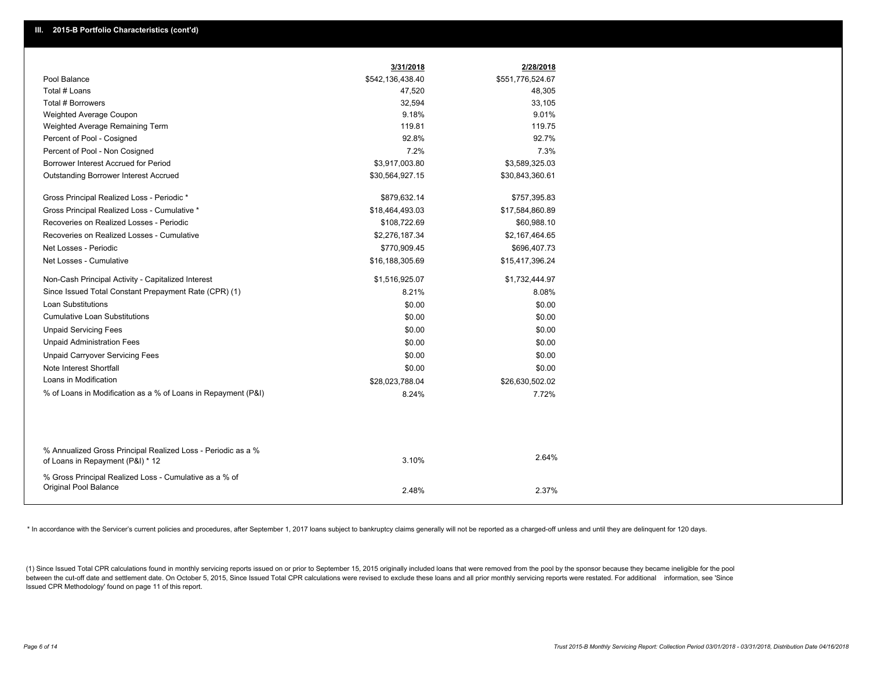|                                                                                                  | 3/31/2018        | 2/28/2018        |  |
|--------------------------------------------------------------------------------------------------|------------------|------------------|--|
| Pool Balance                                                                                     | \$542,136,438.40 | \$551,776,524.67 |  |
| Total # Loans                                                                                    | 47,520           | 48,305           |  |
| Total # Borrowers                                                                                | 32,594           | 33,105           |  |
| Weighted Average Coupon                                                                          | 9.18%            | 9.01%            |  |
| Weighted Average Remaining Term                                                                  | 119.81           | 119.75           |  |
| Percent of Pool - Cosigned                                                                       | 92.8%            | 92.7%            |  |
| Percent of Pool - Non Cosigned                                                                   | 7.2%             | 7.3%             |  |
| Borrower Interest Accrued for Period                                                             | \$3,917,003.80   | \$3,589,325.03   |  |
| Outstanding Borrower Interest Accrued                                                            | \$30,564,927.15  | \$30,843,360.61  |  |
| Gross Principal Realized Loss - Periodic *                                                       | \$879,632.14     | \$757,395.83     |  |
| Gross Principal Realized Loss - Cumulative *                                                     | \$18,464,493.03  | \$17,584,860.89  |  |
| Recoveries on Realized Losses - Periodic                                                         | \$108,722.69     | \$60,988.10      |  |
| Recoveries on Realized Losses - Cumulative                                                       | \$2,276,187.34   | \$2,167,464.65   |  |
| Net Losses - Periodic                                                                            | \$770,909.45     | \$696,407.73     |  |
| Net Losses - Cumulative                                                                          | \$16,188,305.69  | \$15,417,396.24  |  |
| Non-Cash Principal Activity - Capitalized Interest                                               | \$1,516,925.07   | \$1,732,444.97   |  |
| Since Issued Total Constant Prepayment Rate (CPR) (1)                                            | 8.21%            | 8.08%            |  |
| Loan Substitutions                                                                               | \$0.00           | \$0.00           |  |
| <b>Cumulative Loan Substitutions</b>                                                             | \$0.00           | \$0.00           |  |
| <b>Unpaid Servicing Fees</b>                                                                     | \$0.00           | \$0.00           |  |
| <b>Unpaid Administration Fees</b>                                                                | \$0.00           | \$0.00           |  |
| <b>Unpaid Carryover Servicing Fees</b>                                                           | \$0.00           | \$0.00           |  |
| Note Interest Shortfall                                                                          | \$0.00           | \$0.00           |  |
| Loans in Modification                                                                            | \$28,023,788.04  | \$26,630,502.02  |  |
| % of Loans in Modification as a % of Loans in Repayment (P&I)                                    | 8.24%            | 7.72%            |  |
|                                                                                                  |                  |                  |  |
| % Annualized Gross Principal Realized Loss - Periodic as a %<br>of Loans in Repayment (P&I) * 12 | 3.10%            | 2.64%            |  |
| % Gross Principal Realized Loss - Cumulative as a % of<br><b>Original Pool Balance</b>           | 2.48%            | 2.37%            |  |

\* In accordance with the Servicer's current policies and procedures, after September 1, 2017 loans subject to bankruptcy claims generally will not be reported as a charged-off unless and until they are delinguent for 120 d

(1) Since Issued Total CPR calculations found in monthly servicing reports issued on or prior to September 15, 2015 originally included loans that were removed from the pool by the sponsor because they became ineligible fo between the cut-off date and settlement date. On October 5, 2015, Since Issued Total CPR calculations were revised to exclude these loans and all prior monthly servicing reports were restated. For additional information, s Issued CPR Methodology' found on page 11 of this report.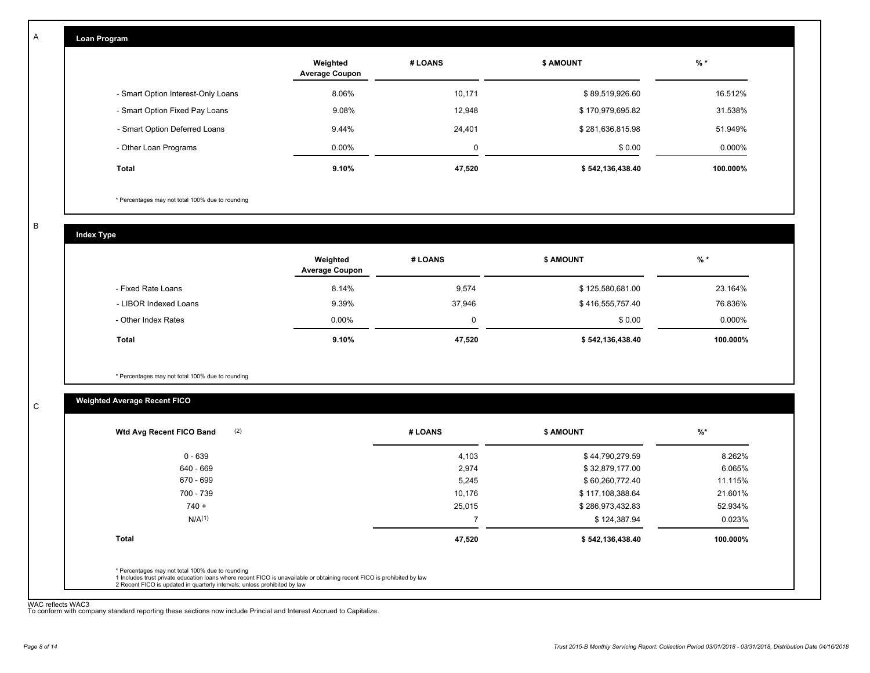| Loan Program                       |                                   |         |                  |           |
|------------------------------------|-----------------------------------|---------|------------------|-----------|
|                                    | Weighted<br><b>Average Coupon</b> | # LOANS | <b>\$ AMOUNT</b> | $%$ *     |
| - Smart Option Interest-Only Loans | 8.06%                             | 10,171  | \$89,519,926.60  | 16.512%   |
| - Smart Option Fixed Pay Loans     | 9.08%                             | 12,948  | \$170,979,695.82 | 31.538%   |
| - Smart Option Deferred Loans      | 9.44%                             | 24,401  | \$281,636,815.98 | 51.949%   |
| - Other Loan Programs              | $0.00\%$                          | 0       | \$0.00           | $0.000\%$ |
| Total                              | 9.10%                             | 47,520  | \$542,136,438.40 | 100.000%  |

\* Percentages may not total 100% due to rounding

B

C

A

**Index Type**

|                       | Weighted<br><b>Average Coupon</b> | # LOANS | <b>\$ AMOUNT</b> | % *      |
|-----------------------|-----------------------------------|---------|------------------|----------|
| - Fixed Rate Loans    | 8.14%                             | 9,574   | \$125,580,681.00 | 23.164%  |
| - LIBOR Indexed Loans | 9.39%                             | 37,946  | \$416,555,757.40 | 76.836%  |
| - Other Index Rates   | $0.00\%$                          | 0       | \$0.00           | 0.000%   |
| <b>Total</b>          | 9.10%                             | 47,520  | \$542,136,438.40 | 100.000% |

\* Percentages may not total 100% due to rounding

# **Weighted Average Recent FICO**

| 0 - 639<br>640 - 669<br>670 - 699 | 4,103<br>2,974<br>5,245 | \$44,790,279.59<br>\$32,879,177.00 | 8.262%<br>6.065% |
|-----------------------------------|-------------------------|------------------------------------|------------------|
|                                   |                         |                                    |                  |
|                                   |                         |                                    |                  |
|                                   |                         | \$60,260,772.40                    | 11.115%          |
| 700 - 739                         | 10.176                  | \$117,108,388.64                   | 21.601%          |
| $740 +$                           | 25,015                  | \$286,973,432.83                   | 52.934%          |
| N/A <sup>(1)</sup>                |                         | \$124,387.94                       | 0.023%           |
| <b>Total</b>                      | 47,520                  | \$542,136,438.40                   | 100.000%         |

WAC reflects WAC3 To conform with company standard reporting these sections now include Princial and Interest Accrued to Capitalize.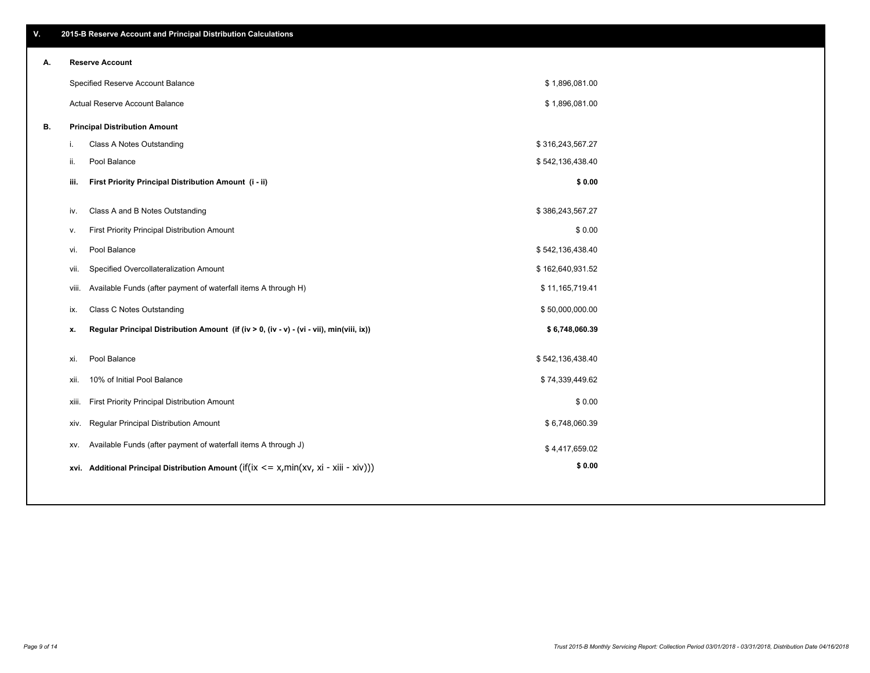| А. | <b>Reserve Account</b>               |
|----|--------------------------------------|
|    | Specified Reserve Account Balance    |
|    | Actual Reserve Account Balance       |
| В. | <b>Principal Distribution Amount</b> |

| ii.   | Pool Balance                                                                                        | \$542,136,438.40 |  |
|-------|-----------------------------------------------------------------------------------------------------|------------------|--|
| iii.  | First Priority Principal Distribution Amount (i - ii)                                               | \$0.00           |  |
|       |                                                                                                     |                  |  |
| iv.   | Class A and B Notes Outstanding                                                                     | \$386,243,567.27 |  |
| v.    | First Priority Principal Distribution Amount                                                        | \$0.00           |  |
| vi.   | Pool Balance                                                                                        | \$542,136,438.40 |  |
| vii.  | Specified Overcollateralization Amount                                                              | \$162,640,931.52 |  |
| viii. | Available Funds (after payment of waterfall items A through H)                                      | \$11,165,719.41  |  |
| ix.   | <b>Class C Notes Outstanding</b>                                                                    | \$50,000,000.00  |  |
| х.    | Regular Principal Distribution Amount (if (iv > 0, (iv - v) - (vi - vii), min(viii, ix))            | \$6,748,060.39   |  |
|       |                                                                                                     |                  |  |
| xi.   | Pool Balance                                                                                        | \$542,136,438.40 |  |
| xii.  | 10% of Initial Pool Balance                                                                         | \$74,339,449.62  |  |
| xiii. | First Priority Principal Distribution Amount                                                        | \$0.00           |  |
| xiv.  | Regular Principal Distribution Amount                                                               | \$6,748,060.39   |  |
| XV.   | Available Funds (after payment of waterfall items A through J)                                      | \$4,417,659.02   |  |
|       | xvi. Additional Principal Distribution Amount (if( $ix \le x$ , min( $xv$ , $xi$ - $xiii - xiv$ ))) | \$0.00           |  |

i. Class A Notes Outstanding and the set of the set of the set of the set of the set of the set of the set of the set of the set of the set of the set of the set of the set of the set of the set of the set of the set of th

\$ 1,896,081.00 \$ 1,896,081.00

# **V. 2015-B Reserve Account and Principal Distribution Calculations**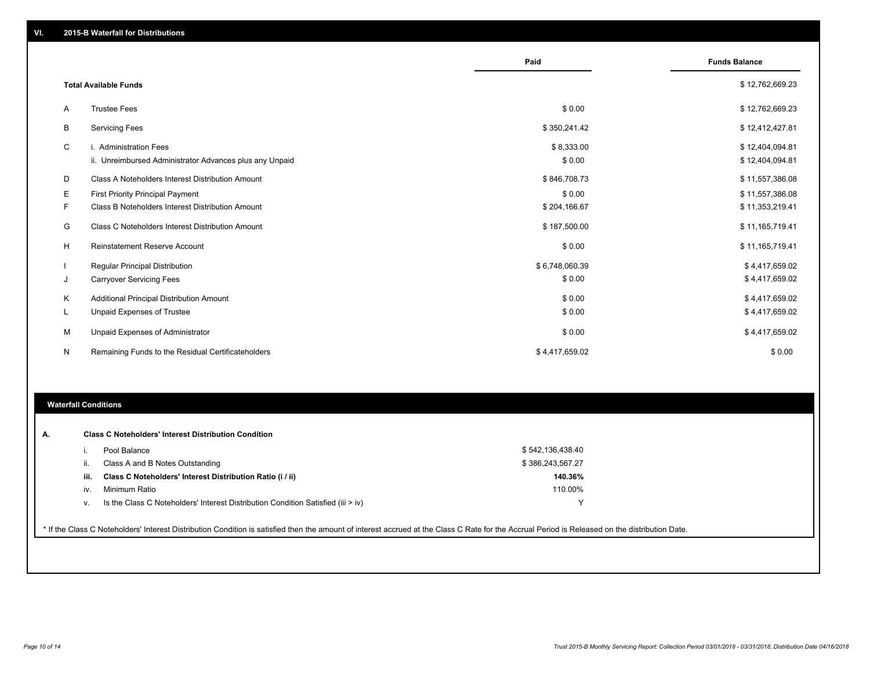|    |                                                         | Paid           | <b>Funds Balance</b> |
|----|---------------------------------------------------------|----------------|----------------------|
|    | <b>Total Available Funds</b>                            |                | \$12,762,669.23      |
| A  | <b>Trustee Fees</b>                                     | \$0.00         | \$12,762,669.23      |
| B  | <b>Servicing Fees</b>                                   | \$350,241.42   | \$12,412,427.81      |
| C  | i. Administration Fees                                  | \$8,333.00     | \$12,404,094.81      |
|    | ii. Unreimbursed Administrator Advances plus any Unpaid | \$0.00         | \$12,404,094.81      |
| D  | Class A Noteholders Interest Distribution Amount        | \$846,708.73   | \$11,557,386.08      |
| Е  | First Priority Principal Payment                        | \$0.00         | \$11,557,386.08      |
| F. | Class B Noteholders Interest Distribution Amount        | \$204,166.67   | \$11,353,219.41      |
| G  | Class C Noteholders Interest Distribution Amount        | \$187,500.00   | \$11,165,719.41      |
| н  | <b>Reinstatement Reserve Account</b>                    | \$0.00         | \$11,165,719.41      |
|    | <b>Regular Principal Distribution</b>                   | \$6,748,060.39 | \$4,417,659.02       |
| J  | <b>Carryover Servicing Fees</b>                         | \$0.00         | \$4,417,659.02       |
| Κ  | <b>Additional Principal Distribution Amount</b>         | \$0.00         | \$4,417,659.02       |
| L  | Unpaid Expenses of Trustee                              | \$0.00         | \$4,417,659.02       |
| M  | Unpaid Expenses of Administrator                        | \$0.00         | \$4,417,659.02       |
| N  | Remaining Funds to the Residual Certificateholders      | \$4,417,659.02 | \$0.00               |

## **Waterfall Conditions**

| Α. |      | <b>Class C Noteholders' Interest Distribution Condition</b>                        |                  |  |
|----|------|------------------------------------------------------------------------------------|------------------|--|
|    |      | Pool Balance                                                                       | \$542,136,438.40 |  |
|    | ii.  | Class A and B Notes Outstanding                                                    | \$386,243,567.27 |  |
|    | iii. | Class C Noteholders' Interest Distribution Ratio (i / ii)                          | 140.36%          |  |
|    | iv.  | Minimum Ratio                                                                      | 110.00%          |  |
|    | V.   | Is the Class C Noteholders' Interest Distribution Condition Satisfied (iii $>$ iv) |                  |  |

\* If the Class C Noteholders' Interest Distribution Condition is satisfied then the amount of interest accrued at the Class C Rate for the Accrual Period is Released on the distribution Date.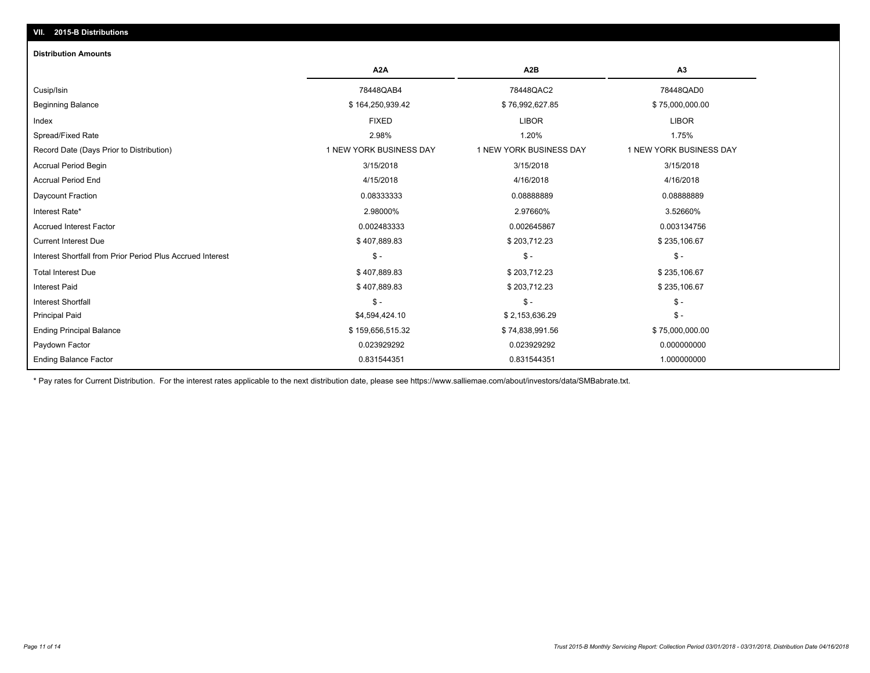# **VII. 2015-B Distributions**

#### **Distribution Amounts**

|                                                            | A <sub>2</sub> A        | A <sub>2</sub> B        | A <sub>3</sub>          |
|------------------------------------------------------------|-------------------------|-------------------------|-------------------------|
| Cusip/Isin                                                 | 78448QAB4               | 78448QAC2               | 78448QAD0               |
| <b>Beginning Balance</b>                                   | \$164,250,939.42        | \$76,992,627.85         | \$75,000,000.00         |
| Index                                                      | <b>FIXED</b>            | <b>LIBOR</b>            | <b>LIBOR</b>            |
| Spread/Fixed Rate                                          | 2.98%                   | 1.20%                   | 1.75%                   |
| Record Date (Days Prior to Distribution)                   | 1 NEW YORK BUSINESS DAY | 1 NEW YORK BUSINESS DAY | 1 NEW YORK BUSINESS DAY |
| <b>Accrual Period Begin</b>                                | 3/15/2018               | 3/15/2018               | 3/15/2018               |
| <b>Accrual Period End</b>                                  | 4/15/2018               | 4/16/2018               | 4/16/2018               |
| Daycount Fraction                                          | 0.08333333              | 0.08888889              | 0.08888889              |
| Interest Rate*                                             | 2.98000%                | 2.97660%                | 3.52660%                |
| <b>Accrued Interest Factor</b>                             | 0.002483333             | 0.002645867             | 0.003134756             |
| <b>Current Interest Due</b>                                | \$407,889.83            | \$203,712.23            | \$235,106.67            |
| Interest Shortfall from Prior Period Plus Accrued Interest | $S -$                   | $S -$                   | $S -$                   |
| <b>Total Interest Due</b>                                  | \$407,889.83            | \$203,712.23            | \$235,106.67            |
| <b>Interest Paid</b>                                       | \$407,889.83            | \$203,712.23            | \$235,106.67            |
| <b>Interest Shortfall</b>                                  | $\mathsf{\$}$ -         | \$ -                    | $\frac{2}{3}$ -         |
| <b>Principal Paid</b>                                      | \$4,594,424.10          | \$2,153,636.29          | $\frac{2}{3}$ -         |
| <b>Ending Principal Balance</b>                            | \$159,656,515.32        | \$74,838,991.56         | \$75,000,000.00         |
| Paydown Factor                                             | 0.023929292             | 0.023929292             | 0.000000000             |
| <b>Ending Balance Factor</b>                               | 0.831544351             | 0.831544351             | 1.000000000             |

\* Pay rates for Current Distribution. For the interest rates applicable to the next distribution date, please see https://www.salliemae.com/about/investors/data/SMBabrate.txt.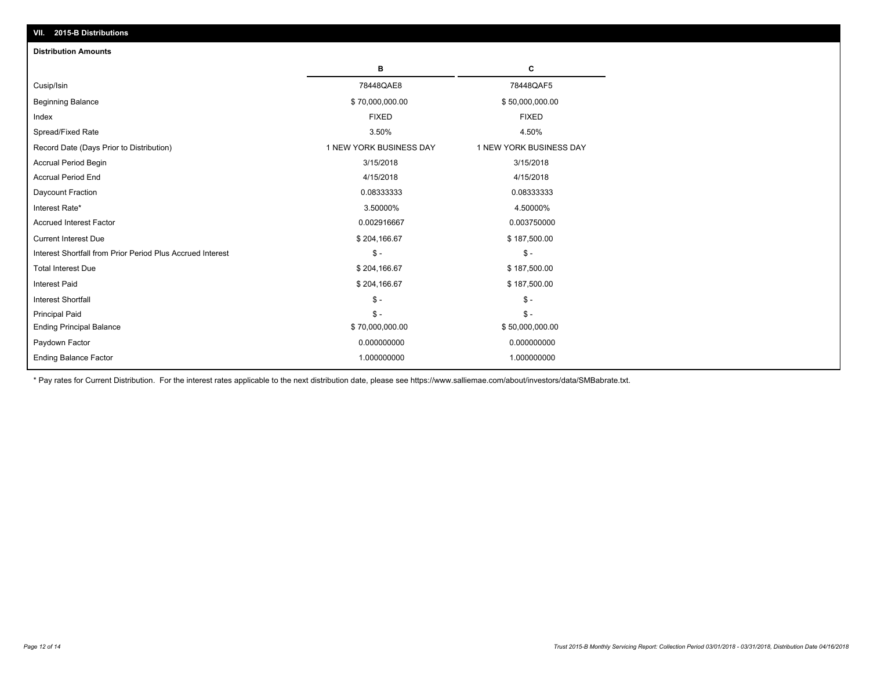| 2015-B Distributions<br>VII.                               |                         |                         |
|------------------------------------------------------------|-------------------------|-------------------------|
| <b>Distribution Amounts</b>                                |                         |                         |
|                                                            | в                       | C                       |
| Cusip/Isin                                                 | 78448QAE8               | 78448QAF5               |
| <b>Beginning Balance</b>                                   | \$70,000,000.00         | \$50,000,000.00         |
| Index                                                      | <b>FIXED</b>            | <b>FIXED</b>            |
| Spread/Fixed Rate                                          | 3.50%                   | 4.50%                   |
| Record Date (Days Prior to Distribution)                   | 1 NEW YORK BUSINESS DAY | 1 NEW YORK BUSINESS DAY |
| Accrual Period Begin                                       | 3/15/2018               | 3/15/2018               |
| <b>Accrual Period End</b>                                  | 4/15/2018               | 4/15/2018               |
| Daycount Fraction                                          | 0.08333333              | 0.08333333              |
| Interest Rate*                                             | 3.50000%                | 4.50000%                |
| <b>Accrued Interest Factor</b>                             | 0.002916667             | 0.003750000             |
| <b>Current Interest Due</b>                                | \$204,166.67            | \$187,500.00            |
| Interest Shortfall from Prior Period Plus Accrued Interest | $\mathsf{\$}$ -         | $\mathsf{\$}$ -         |
| <b>Total Interest Due</b>                                  | \$204,166.67            | \$187,500.00            |
| <b>Interest Paid</b>                                       | \$204,166.67            | \$187,500.00            |
| <b>Interest Shortfall</b>                                  | $\frac{1}{2}$           | $\mathsf{\$}$ -         |
| <b>Principal Paid</b>                                      | $S -$                   | $\mathsf{\$}$ -         |
| <b>Ending Principal Balance</b>                            | \$70,000,000.00         | \$50,000,000.00         |
| Paydown Factor                                             | 0.000000000             | 0.000000000             |
| <b>Ending Balance Factor</b>                               | 1.000000000             | 1.000000000             |

\* Pay rates for Current Distribution. For the interest rates applicable to the next distribution date, please see https://www.salliemae.com/about/investors/data/SMBabrate.txt.